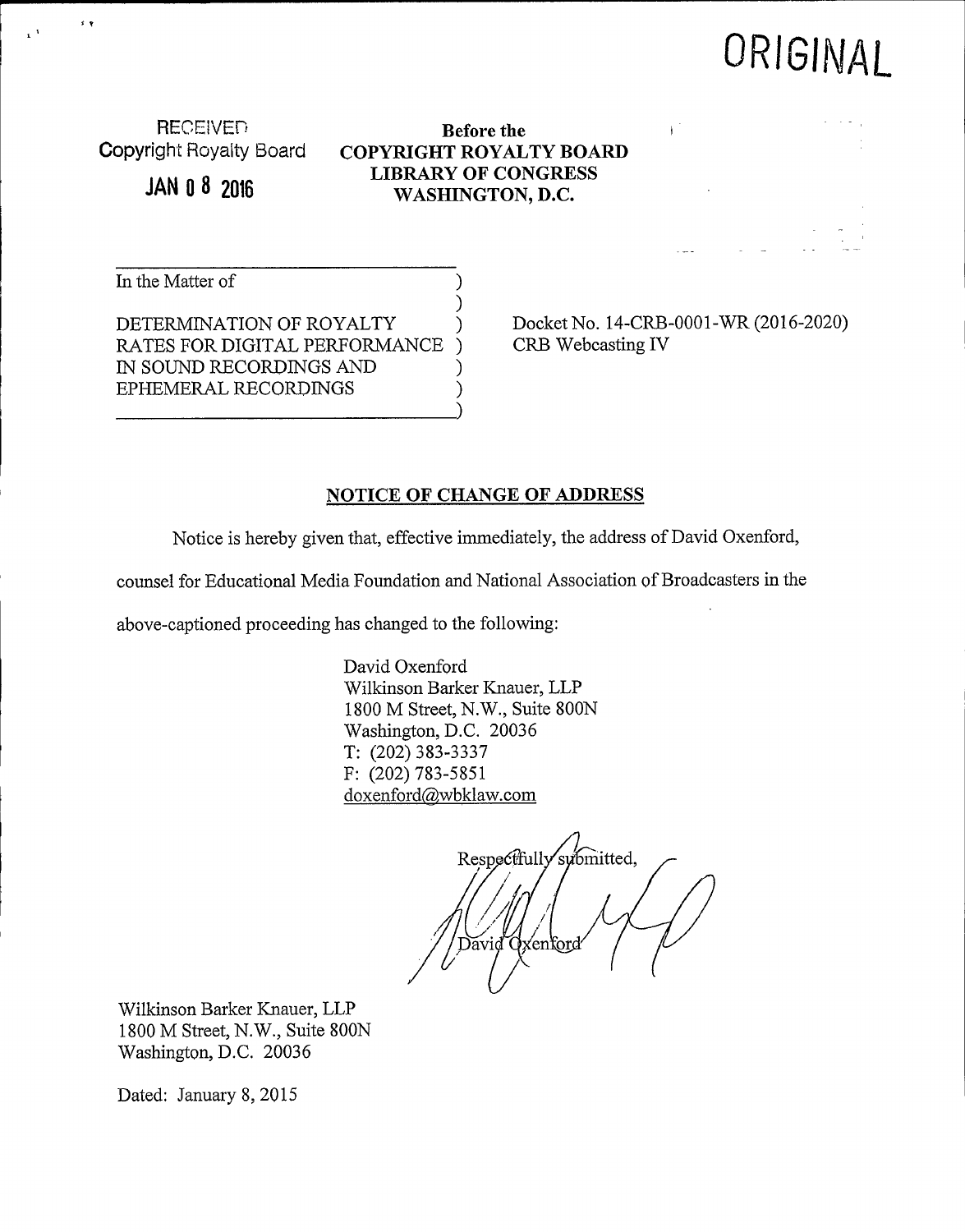## ORIGINAL

RECEIVED<br>Copyright Royalty Board **COPYRIGHT ROYAL** 

 $\leq$   $\eta$ 

**JAN 0 8 2016** 

Copyright Royaity Board COPYRIGHT ROYALTY BOARD LIBRARY OF CONGRESS WASHINGTON, D.C.

In the Matter of

DETERMINATION OF ROYALTY RATES FOR DIGITAL PERFORMANCE IN SOUND RECORDINGS AND EPHEMERAL RECORDINGS )

Docket No. 14-CRB-0001-WR (2016-2020) CRB Webcasting IV

## NOTICE OF CHANGE OF ADDRESS

Notice is hereby given that, effective immediately, the address of David Oxenford,

counsel for Educational Media Foundation and National Association of Broadcasters in the

)

)

above-captioned proceeding has changed to the following:

David Qxenford Wilkinson Barker Knauer, LLP 1800 M Street, N.W., Suite 800N Washington, D.C. 20036 T: (202) 383-3337 F: (202) 783-5851 doxenford@wbklaw.com

Respectfully submitted, enford)

Wilkinson Barker Knauer, LLP 1800 M Street, N.W., Suite 800N Washington, D.C. 20036

Dated: January 8, 2015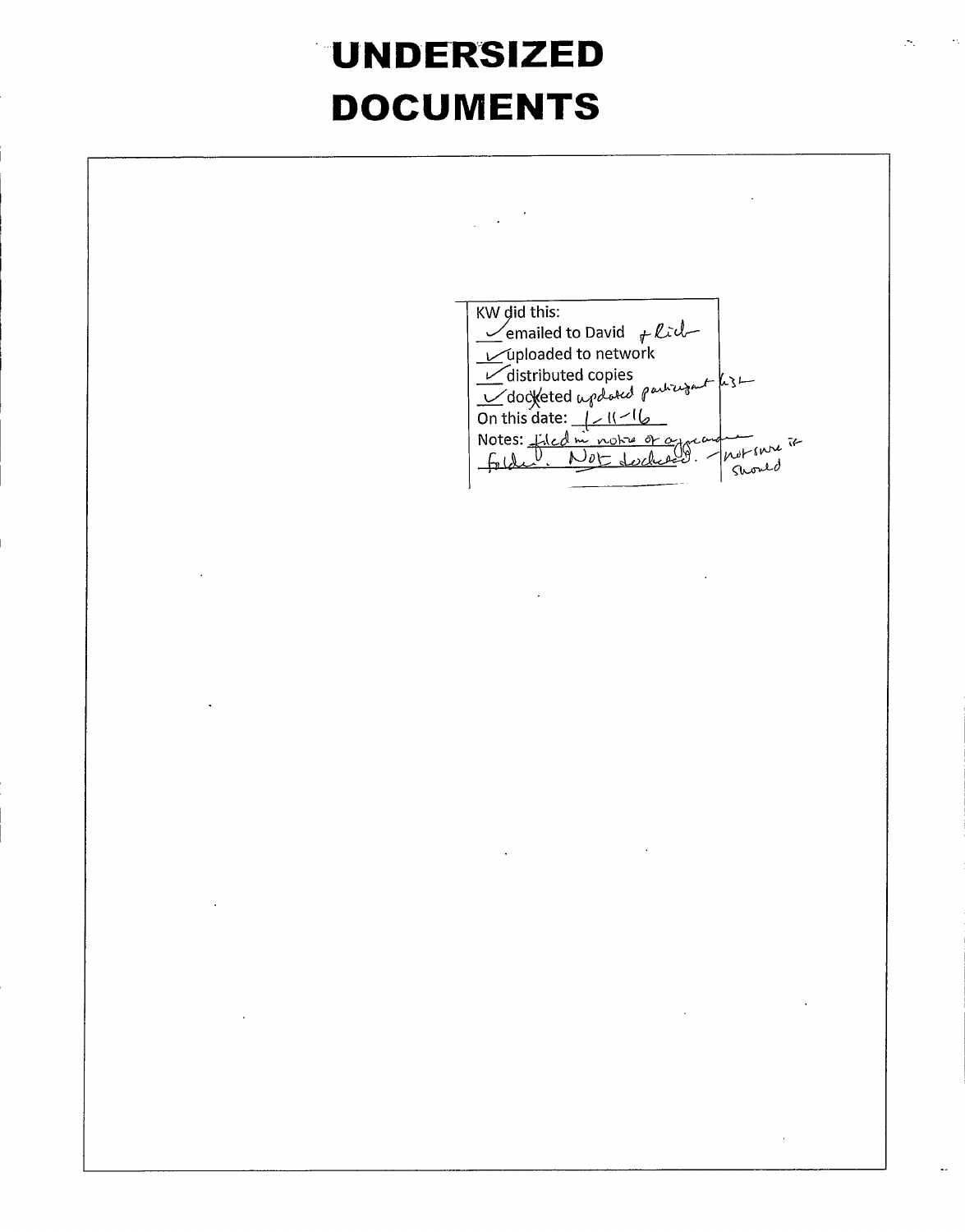## UNDERSIZED DOCUMENTS

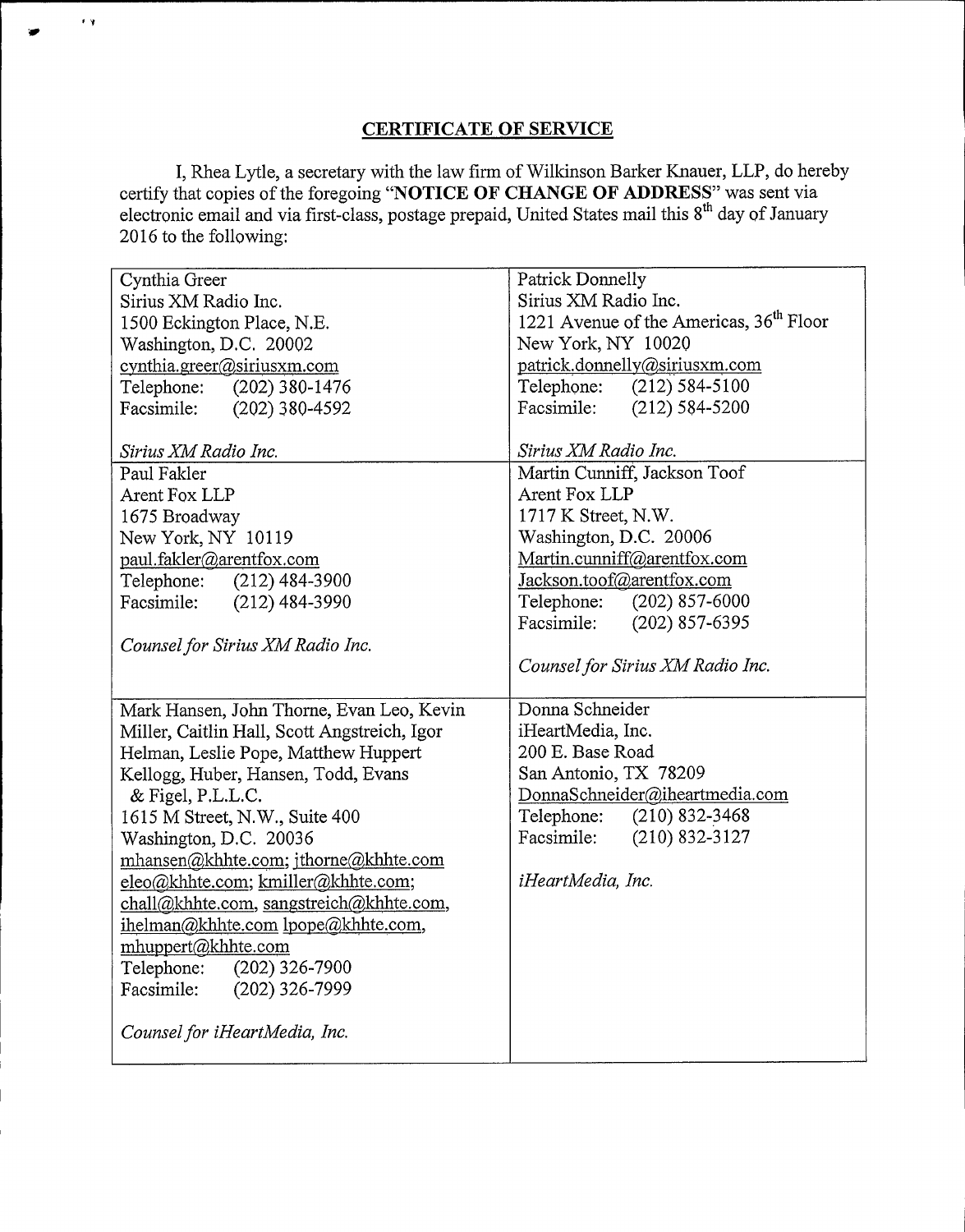## CERTIFICATE OF SERVICE

 $\pm$   $\gamma$ 

I, Rhea Lytle, a secretary with the law firm of Wilkinson Barker Knauer, LLP, do hereby certify that copies of the foregoing "NOTICE OF CHANGE OF ADDRESS" was sent via electronic email and via first-class, postage prepaid, United States mail this 8<sup>th</sup> day of January 2016 to the following:

| Cynthia Greer                                            | <b>Patrick Donnelly</b>                                          |
|----------------------------------------------------------|------------------------------------------------------------------|
| Sirius XM Radio Inc.                                     | Sirius XM Radio Inc.                                             |
| 1500 Eckington Place, N.E.                               | 1221 Avenue of the Americas, 36 <sup>th</sup> Floor              |
| Washington, D.C. 20002                                   | New York, NY 10020                                               |
| cynthia.greer@siriusxm.com                               | patrick.donnelly@siriusxm.com                                    |
| $(202)$ 380-1476<br>Telephone:                           | Telephone:<br>$(212) 584 - 5100$                                 |
| Facsimile:<br>$(202)$ 380-4592                           | Facsimile:<br>$(212) 584 - 5200$                                 |
| Sirius XM Radio Inc.                                     | Sirius XM Radio Inc.                                             |
| Paul Fakler                                              | Martin Cunniff, Jackson Toof                                     |
|                                                          | Arent Fox LLP                                                    |
| Arent Fox LLP                                            | 1717 K Street, N.W.                                              |
| 1675 Broadway                                            |                                                                  |
| New York, NY 10119                                       | Washington, D.C. 20006                                           |
| paul.fakler@arentfox.com                                 | Martin.cunniff@arentfox.com                                      |
| $(212)$ 484-3900<br>Telephone:                           | Jackson.toof@arentfox.com                                        |
| Facsimile:<br>$(212)$ 484-3990                           | Telephone:<br>$(202)$ 857-6000                                   |
|                                                          | $(202)$ 857-6395<br>Facsimile:                                   |
| Counsel for Sirius XM Radio Inc.                         |                                                                  |
|                                                          | Counsel for Sirius XM Radio Inc.                                 |
| Mark Hansen, John Thorne, Evan Leo, Kevin                | Donna Schneider                                                  |
| Miller, Caitlin Hall, Scott Angstreich, Igor             | iHeartMedia, Inc.                                                |
| Helman, Leslie Pope, Matthew Huppert                     | 200 E. Base Road                                                 |
| Kellogg, Huber, Hansen, Todd, Evans                      | San Antonio, TX 78209                                            |
| & Figel, P.L.L.C.                                        |                                                                  |
|                                                          |                                                                  |
|                                                          | DonnaSchneider@iheartmedia.com<br>$(210)$ 832-3468<br>Telephone: |
| 1615 M Street, N.W., Suite 400                           | $(210)$ 832-3127<br>Facsimile:                                   |
| Washington, D.C. 20036                                   |                                                                  |
| mhansen@khhte.com; jthorne@khhte.com                     | iHeartMedia, Inc.                                                |
| eleo@khhte.com; kmiller@khhte.com;                       |                                                                  |
| chall@khhte.com, sangstreich@khhte.com,                  |                                                                  |
| ihelman@khhte.com lpope@khhte.com,<br>mhuppert@khhte.com |                                                                  |
| Telephone:<br>$(202)$ 326-7900                           |                                                                  |
| Facsimile:<br>$(202)$ 326-7999                           |                                                                  |
|                                                          |                                                                  |
| Counsel for iHeartMedia, Inc.                            |                                                                  |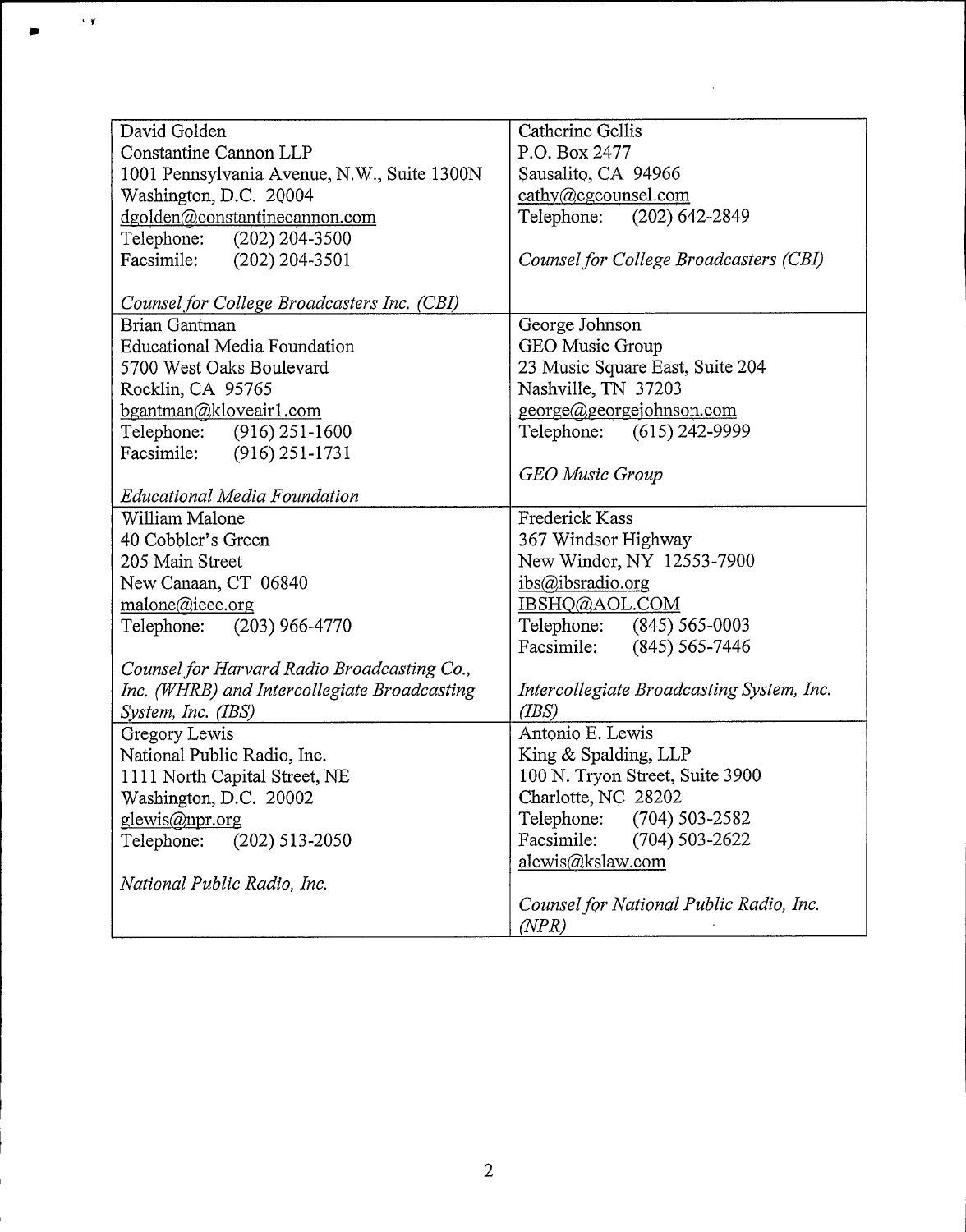| David Golden                                 | Catherine Gellis                          |
|----------------------------------------------|-------------------------------------------|
| Constantine Cannon LLP                       | P.O. Box 2477                             |
| 1001 Pennsylvania Avenue, N.W., Suite 1300N  | Sausalito, CA 94966                       |
| Washington, D.C. 20004                       | $\text{cathy}(a)$ cgcounsel.com           |
| dgolden@constantinecannon.com                | Telephone: (202) 642-2849                 |
| Telephone:<br>$(202)$ 204-3500               |                                           |
| Facsimile: (202) 204-3501                    | Counsel for College Broadcasters (CBI)    |
|                                              |                                           |
| Counsel for College Broadcasters Inc. (CBI)  |                                           |
| Brian Gantman                                | George Johnson                            |
| <b>Educational Media Foundation</b>          | GEO Music Group                           |
| 5700 West Oaks Boulevard                     | 23 Music Square East, Suite 204           |
| Rocklin, CA 95765                            | Nashville, TN 37203                       |
| bgantman@kloveair1.com                       | george@georgejohnson.com                  |
| Telephone: (916) 251-1600                    | Telephone: (615) 242-9999                 |
| Facsimile: (916) 251-1731                    |                                           |
|                                              | <b>GEO Music Group</b>                    |
| <b>Educational Media Foundation</b>          |                                           |
| William Malone                               | Frederick Kass                            |
| 40 Cobbler's Green                           | 367 Windsor Highway                       |
| 205 Main Street                              | New Windor, NY 12553-7900                 |
| New Canaan, CT 06840                         | ibs@ibsradio.org                          |
| malone@ieee.org                              | IBSHQ@AOL.COM                             |
| Telephone: (203) 966-4770                    | Telephone: (845) 565-0003                 |
|                                              | Facsimile: (845) 565-7446                 |
| Counsel for Harvard Radio Broadcasting Co.,  |                                           |
| Inc. (WHRB) and Intercollegiate Broadcasting | Intercollegiate Broadcasting System, Inc. |
| System, Inc. (IBS)                           | (BS)                                      |
| Gregory Lewis                                | Antonio E. Lewis                          |
| National Public Radio, Inc.                  | King & Spalding, LLP                      |
| 1111 North Capital Street, NE                | 100 N. Tryon Street, Suite 3900           |
| Washington, D.C. 20002                       | Charlotte, NC 28202                       |
| <u>glewis@npr.org</u>                        | Telephone: (704) 503-2582                 |
| $(202)$ 513-2050<br>Telephone:               | Facsimile:<br>$(704) 503 - 2622$          |
|                                              | alewis@kslaw.com                          |
| National Public Radio, Inc.                  |                                           |
|                                              | Counsel for National Public Radio, Inc.   |
|                                              | (NPR)                                     |

 $\ddot{\phantom{a}}$ 

 $\epsilon/\gamma$ 

÷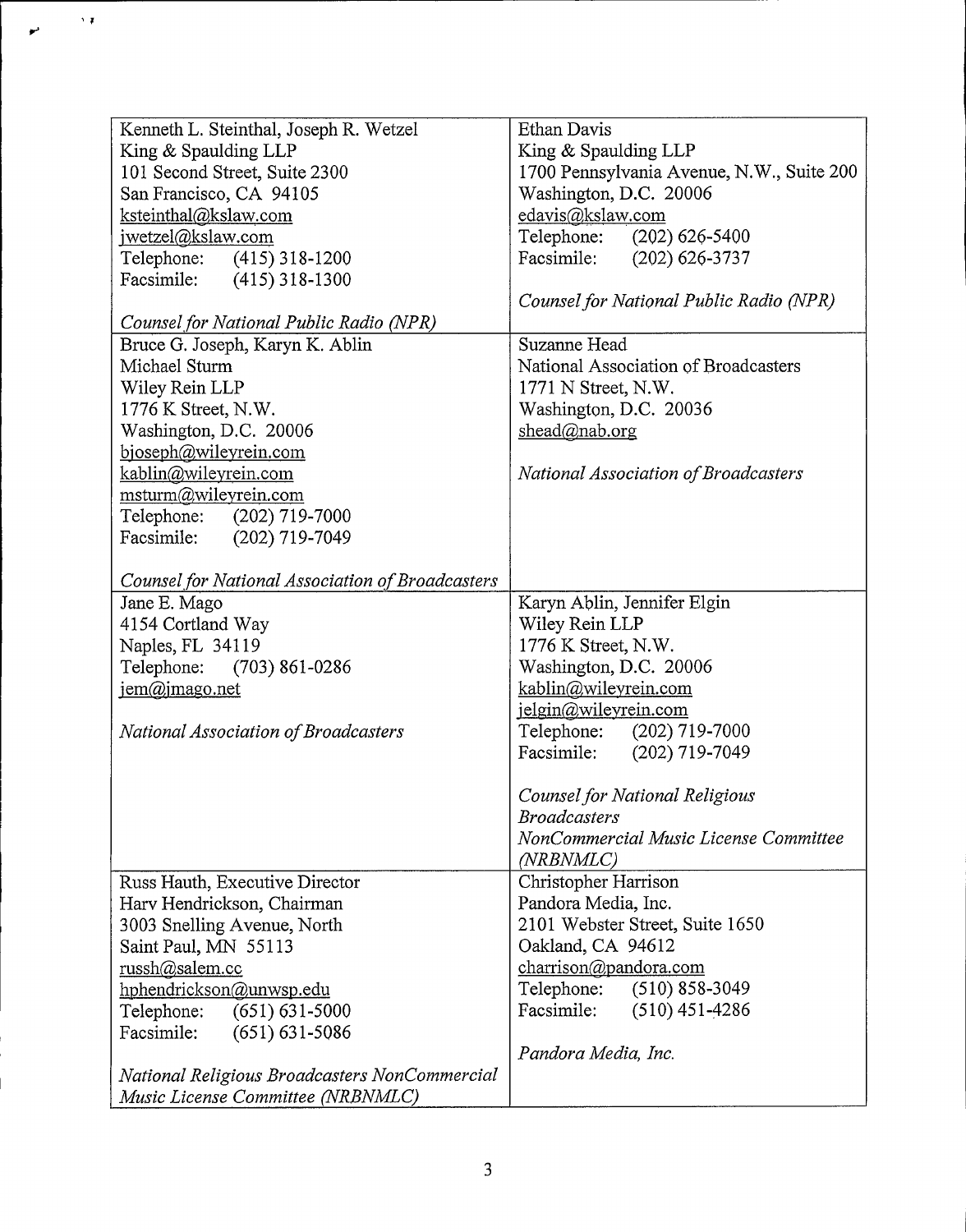| Kenneth L. Steinthal, Joseph R. Wetzel           | Ethan Davis                               |
|--------------------------------------------------|-------------------------------------------|
| King & Spaulding LLP                             | King & Spaulding LLP                      |
| 101 Second Street, Suite 2300                    | 1700 Pennsylvania Avenue, N.W., Suite 200 |
| San Francisco, CA 94105                          | Washington, D.C. 20006                    |
| ksteinthal@kslaw.com                             | edavis@kslaw.com                          |
| jwetzel@kslaw.com                                | Telephone: (202) 626-5400                 |
| Telephone: (415) 318-1200                        | Facsimile: (202) 626-3737                 |
| Facsimile: (415) 318-1300                        |                                           |
|                                                  | Counsel for National Public Radio (NPR)   |
| Counsel for National Public Radio (NPR)          |                                           |
| Bruce G. Joseph, Karyn K. Ablin                  | Suzanne Head                              |
| Michael Sturm                                    | National Association of Broadcasters      |
| Wiley Rein LLP                                   | 1771 N Street, N.W.                       |
| 1776 K Street, N.W.                              | Washington, D.C. 20036                    |
| Washington, D.C. 20006                           | shead@nab.org                             |
| bjoseph@wileyrein.com                            |                                           |
| kablin@wileyrein.com                             | National Association of Broadcasters      |
| msturm@wileyrein.com                             |                                           |
| Telephone: (202) 719-7000                        |                                           |
| Facsimile: (202) 719-7049                        |                                           |
|                                                  |                                           |
| Counsel for National Association of Broadcasters |                                           |
| Jane E. Mago                                     | Karyn Ablin, Jennifer Elgin               |
| 4154 Cortland Way                                | Wiley Rein LLP                            |
| Naples, FL 34119                                 | 1776 K Street, N.W.                       |
| Telephone: (703) 861-0286                        | Washington, D.C. 20006                    |
| jem@jmago.net                                    | kablin@wileyrein.com                      |
|                                                  | jelgin@wileyrein.com                      |
| National Association of Broadcasters             | Telephone: (202) 719-7000                 |
|                                                  | Facsimile: (202) 719-7049                 |
|                                                  |                                           |
|                                                  | Counsel for National Religious            |
|                                                  | <b>Broadcasters</b>                       |
|                                                  | NonCommercial Music License Committee     |
|                                                  | (NRBNMLC)                                 |
| Russ Hauth, Executive Director                   | Christopher Harrison                      |
| Harv Hendrickson, Chairman                       | Pandora Media, Inc.                       |
| 3003 Snelling Avenue, North                      | 2101 Webster Street, Suite 1650           |
| Saint Paul, MN 55113                             | Oakland, CA 94612                         |
| russh@salem.cc                                   | charrison@pandora.com                     |
| hphendrickson@unwsp.edu                          | Telephone:<br>$(510)$ 858-3049            |
| $(651) 631 - 5000$<br>Telephone:                 | Facsimile:<br>$(510)$ 451-4286            |
| Facsimile:<br>$(651) 631 - 5086$                 |                                           |
|                                                  | Pandora Media, Inc.                       |
| National Religious Broadcasters NonCommercial    |                                           |
| Music License Committee (NRBNMLC)                |                                           |
|                                                  |                                           |

 $\ddot{\phantom{0}}$ 

÷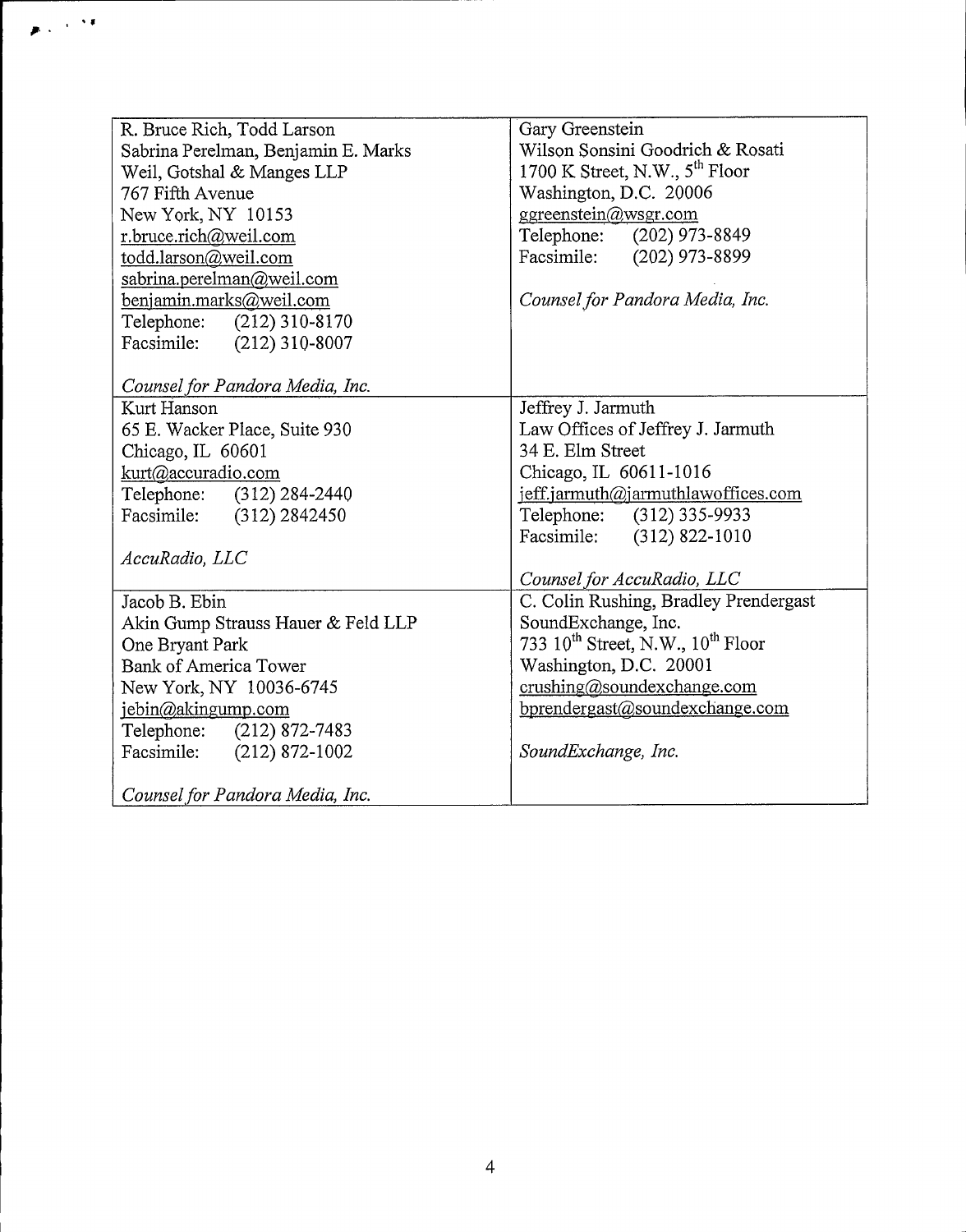| R. Bruce Rich, Todd Larson          | Gary Greenstein                             |
|-------------------------------------|---------------------------------------------|
| Sabrina Perelman, Benjamin E. Marks | Wilson Sonsini Goodrich & Rosati            |
| Weil, Gotshal & Manges LLP          | 1700 K Street, N.W., $5^{th}$ Floor         |
| 767 Fifth Avenue                    | Washington, D.C. 20006                      |
| New York, NY 10153                  | ggreenstein@wsgr.com                        |
| r.bruce.rich@weil.com               | Telephone: (202) 973-8849                   |
| todd.larson@weil.com                | Facsimile: (202) 973-8899                   |
| sabrina.perelman@weil.com           |                                             |
| benjamin.marks@weil.com             | Counsel for Pandora Media, Inc.             |
| Telephone: (212) 310-8170           |                                             |
| Facsimile: (212) 310-8007           |                                             |
|                                     |                                             |
| Counsel for Pandora Media, Inc.     |                                             |
| Kurt Hanson                         | Jeffrey J. Jarmuth                          |
| 65 E. Wacker Place, Suite 930       | Law Offices of Jeffrey J. Jarmuth           |
| Chicago, IL 60601                   | 34 E. Elm Street                            |
| kurt@accuradio.com                  | Chicago, IL 60611-1016                      |
| Telephone: (312) 284-2440           | jeff.jarmuth@jarmuthlawoffices.com          |
| Facsimile: (312) 2842450            | Telephone: (312) 335-9933                   |
|                                     | Facsimile: (312) 822-1010                   |
| AccuRadio, LLC                      |                                             |
|                                     | Counsel for AccuRadio, LLC                  |
| Jacob B. Ebin                       | C. Colin Rushing, Bradley Prendergast       |
| Akin Gump Strauss Hauer & Feld LLP  | SoundExchange, Inc.                         |
| One Bryant Park                     | 733 $10^{th}$ Street, N.W., $10^{th}$ Floor |
| <b>Bank of America Tower</b>        | Washington, D.C. 20001                      |
| New York, NY 10036-6745             | crushing@soundexchange.com                  |
| jebin@akingump.com                  | bprendergast@soundexchange.com              |
| Telephone: (212) 872-7483           |                                             |
| Facsimile: (212) 872-1002           | SoundExchange, Inc.                         |
|                                     |                                             |
| Counsel for Pandora Media, Inc.     |                                             |

 $\chi \rightarrow 0$  $\ddot{\phantom{a}}$  $\bullet$ 

 $\overline{4}$